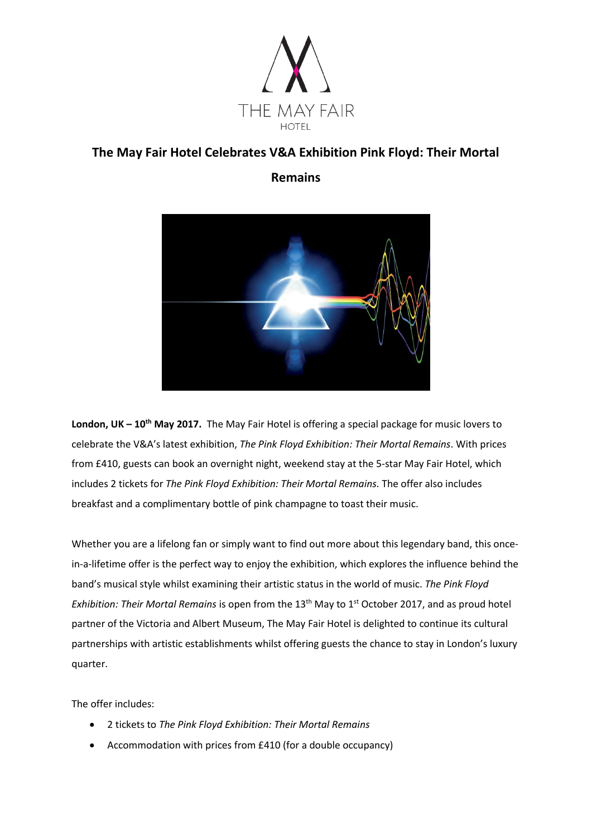

# **The May Fair Hotel Celebrates V&A Exhibition Pink Floyd: Their Mortal**

**Remains** 



**London, UK – 10th May 2017.** The May Fair Hotel is offering a special package for music lovers to celebrate the V&A's latest exhibition, *The Pink Floyd Exhibition: Their Mortal Remains*. With prices from £410, guests can book an overnight night, weekend stay at the 5-star May Fair Hotel, which includes 2 tickets for *The Pink Floyd Exhibition: Their Mortal Remains.* The offer also includes breakfast and a complimentary bottle of pink champagne to toast their music.

Whether you are a lifelong fan or simply want to find out more about this legendary band, this oncein-a-lifetime offer is the perfect way to enjoy the exhibition, which explores the influence behind the band's musical style whilst examining their artistic status in the world of music. *The Pink Floyd Exhibition: Their Mortal Remains* is open from the 13<sup>th</sup> May to 1<sup>st</sup> October 2017, and as proud hotel partner of the Victoria and Albert Museum, The May Fair Hotel is delighted to continue its cultural partnerships with artistic establishments whilst offering guests the chance to stay in London's luxury quarter.

The offer includes:

- 2 tickets to *The Pink Floyd Exhibition: Their Mortal Remains*
- Accommodation with prices from £410 (for a double occupancy)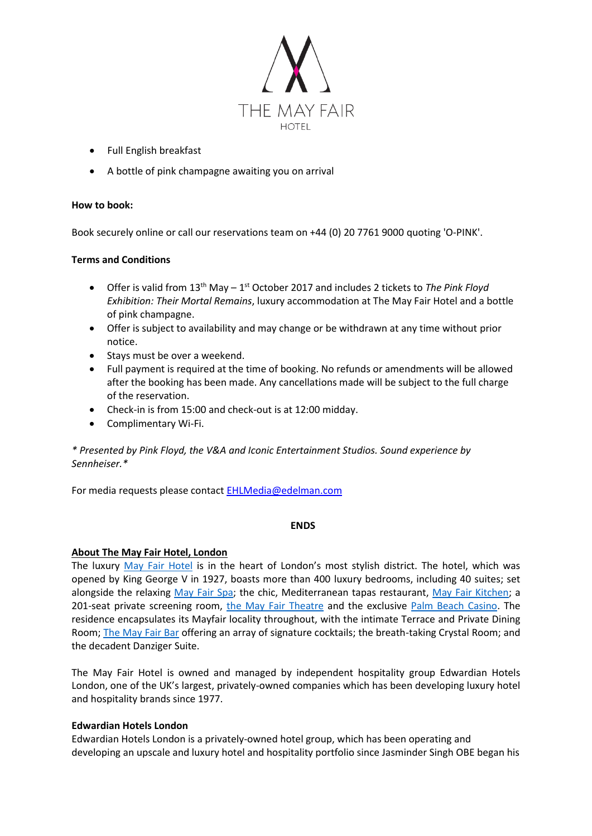

- Full English breakfast
- A bottle of pink champagne awaiting you on arrival

## **How to book:**

Book securely online or call our reservations team on +44 (0) 20 7761 9000 quoting 'O-PINK'.

## **Terms and Conditions**

- Offer is valid from 13<sup>th</sup> May 1<sup>st</sup> October 2017 and includes 2 tickets to The Pink Floyd *Exhibition: Their Mortal Remains*, luxury accommodation at The May Fair Hotel and a bottle of pink champagne.
- Offer is subject to availability and may change or be withdrawn at any time without prior notice.
- Stays must be over a weekend.
- Full payment is required at the time of booking. No refunds or amendments will be allowed after the booking has been made. Any cancellations made will be subject to the full charge of the reservation.
- Check-in is from 15:00 and check-out is at 12:00 midday.
- Complimentary Wi-Fi.

*\* Presented by Pink Floyd, the V&A and Iconic Entertainment Studios. Sound experience by Sennheiser.\**

For media requests please contact **EHLMedia@edelman.com** 

#### **ENDS**

#### **About The May Fair Hotel, London**

The luxury [May Fair Hotel](http://www.themayfairhotel.co.uk/) is in the heart of London's most stylish district. The hotel, which was opened by King George V in 1927, boasts more than 400 luxury bedrooms, including 40 suites; set alongside the relaxing [May Fair Spa;](http://www.themayfairhotel.co.uk/spa) the chic, Mediterranean tapas restaurant, [May Fair Kitchen;](http://www.mayfairkitchen.co.uk/) a 201-seat private screening room, [the May Fair Theatre](http://www.themayfairhotel.co.uk/video/the-theatre) and the exclusive [Palm Beach Casino.](http://www.thepalmbeach.co.uk/) The residence encapsulates its Mayfair locality throughout, with the intimate Terrace and Private Dining Room; [The May Fair Bar](http://www.themayfairhotel.co.uk/bar) offering an array of signature cocktails; the breath-taking Crystal Room; and the decadent Danziger Suite.

The May Fair Hotel is owned and managed by independent hospitality group Edwardian Hotels London, one of the UK's largest, privately-owned companies which has been developing luxury hotel and hospitality brands since 1977.

#### **Edwardian Hotels London**

Edwardian Hotels London is a privately-owned hotel group, which has been operating and developing an upscale and luxury hotel and hospitality portfolio since Jasminder Singh OBE began his